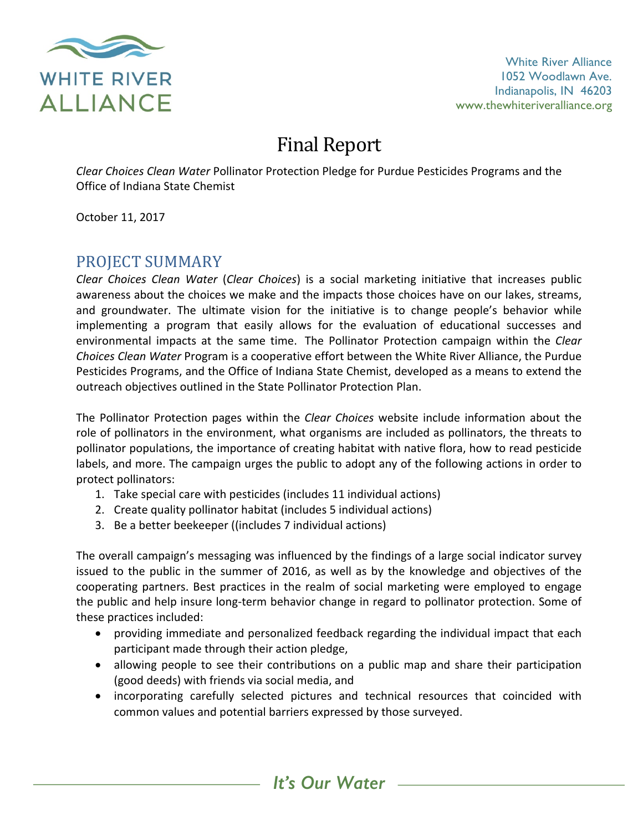

White River Alliance 1052 Woodlawn Ave. Indianapolis, IN 46203 www.thewhiteriveralliance.org

# **Final Report**

*Clear Choices Clean Water* Pollinator Protection Pledge for Purdue Pesticides Programs and the Office of Indiana State Chemist

October 11, 2017

### PROJECT SUMMARY

*Clear Choices Clean Water* (*Clear Choices*) is a social marketing initiative that increases public awareness about the choices we make and the impacts those choices have on our lakes, streams, and groundwater. The ultimate vision for the initiative is to change people's behavior while implementing a program that easily allows for the evaluation of educational successes and environmental impacts at the same time. The Pollinator Protection campaign within the Clear *Choices Clean Water* Program is a cooperative effort between the White River Alliance, the Purdue Pesticides Programs, and the Office of Indiana State Chemist, developed as a means to extend the outreach objectives outlined in the State Pollinator Protection Plan.

The Pollinator Protection pages within the *Clear Choices* website include information about the role of pollinators in the environment, what organisms are included as pollinators, the threats to pollinator populations, the importance of creating habitat with native flora, how to read pesticide labels, and more. The campaign urges the public to adopt any of the following actions in order to protect pollinators:

- 1. Take special care with pesticides (includes 11 individual actions)
- 2. Create quality pollinator habitat (includes 5 individual actions)
- 3. Be a better beekeeper ((includes 7 individual actions)

The overall campaign's messaging was influenced by the findings of a large social indicator survey issued to the public in the summer of 2016, as well as by the knowledge and objectives of the cooperating partners. Best practices in the realm of social marketing were employed to engage the public and help insure long-term behavior change in regard to pollinator protection. Some of these practices included:

- providing immediate and personalized feedback regarding the individual impact that each participant made through their action pledge,
- allowing people to see their contributions on a public map and share their participation (good deeds) with friends via social media, and
- incorporating carefully selected pictures and technical resources that coincided with common values and potential barriers expressed by those surveyed.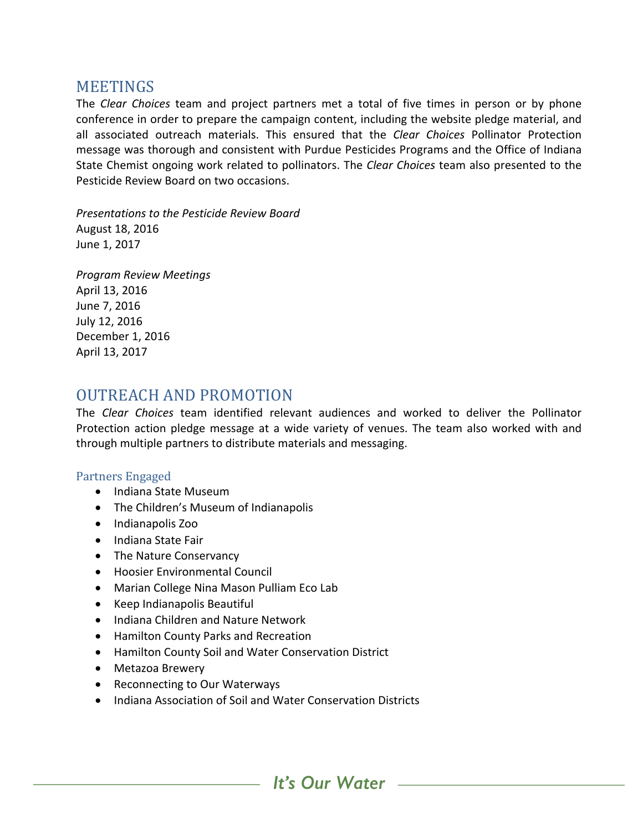#### MEETINGS

The *Clear Choices* team and project partners met a total of five times in person or by phone conference in order to prepare the campaign content, including the website pledge material, and all associated outreach materials. This ensured that the *Clear Choices* Pollinator Protection message was thorough and consistent with Purdue Pesticides Programs and the Office of Indiana State Chemist ongoing work related to pollinators. The *Clear Choices* team also presented to the Pesticide Review Board on two occasions.

*Presentations to the Pesticide Review Board* August 18, 2016 June 1, 2017

*Program Review Meetings* April 13, 2016 June 7, 2016 July 12, 2016 December 1, 2016 April 13, 2017

### OUTREACH AND PROMOTION

The *Clear* Choices team identified relevant audiences and worked to deliver the Pollinator Protection action pledge message at a wide variety of venues. The team also worked with and through multiple partners to distribute materials and messaging.

#### Partners Engaged

- Indiana State Museum
- The Children's Museum of Indianapolis
- Indianapolis Zoo
- Indiana State Fair
- The Nature Conservancy
- Hoosier Environmental Council
- Marian College Nina Mason Pulliam Eco Lab
- Keep Indianapolis Beautiful
- Indiana Children and Nature Network
- Hamilton County Parks and Recreation
- Hamilton County Soil and Water Conservation District
- Metazoa Brewery
- Reconnecting to Our Waterways
- Indiana Association of Soil and Water Conservation Districts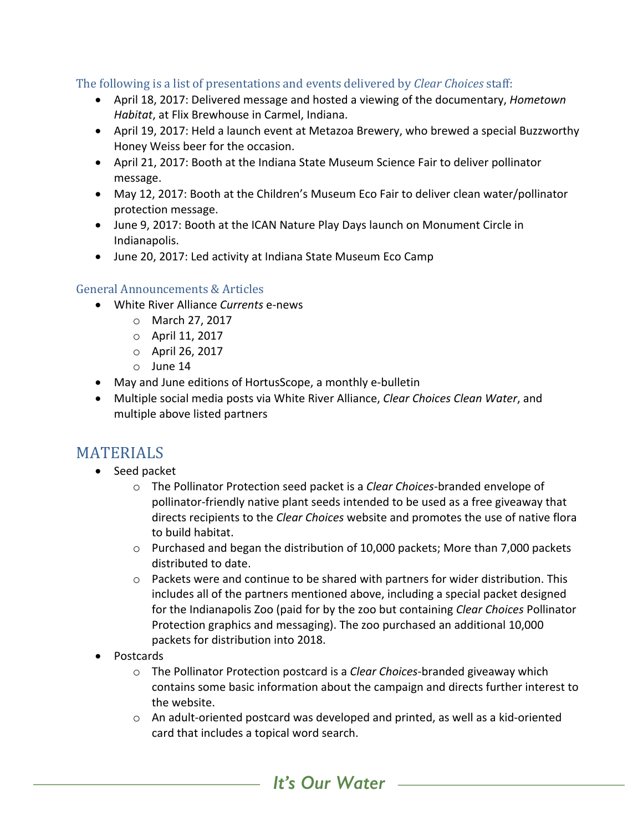The following is a list of presentations and events delivered by *Clear Choices* staff:

- April 18, 2017: Delivered message and hosted a viewing of the documentary, *Hometown* Habitat, at Flix Brewhouse in Carmel, Indiana.
- April 19, 2017: Held a launch event at Metazoa Brewery, who brewed a special Buzzworthy Honey Weiss beer for the occasion.
- April 21, 2017: Booth at the Indiana State Museum Science Fair to deliver pollinator message.
- May 12, 2017: Booth at the Children's Museum Eco Fair to deliver clean water/pollinator protection message.
- June 9, 2017: Booth at the ICAN Nature Play Days launch on Monument Circle in Indianapolis.
- June 20, 2017: Led activity at Indiana State Museum Eco Camp

#### General Announcements & Articles

- White River Alliance *Currents* e-news
	- o March 27, 2017
	- $\circ$  April 11, 2017
	- $\circ$  April 26, 2017
	- $\circ$  June 14
- May and June editions of HortusScope, a monthly e-bulletin
- Multiple social media posts via White River Alliance, *Clear Choices Clean Water*, and multiple above listed partners

### MATERIALS

- Seed packet
	- o The Pollinator Protection seed packet is a *Clear Choices*-branded envelope of pollinator-friendly native plant seeds intended to be used as a free giveaway that directs recipients to the *Clear Choices* website and promotes the use of native flora to build habitat.
	- $\circ$  Purchased and began the distribution of 10,000 packets; More than 7,000 packets distributed to date.
	- $\circ$  Packets were and continue to be shared with partners for wider distribution. This includes all of the partners mentioned above, including a special packet designed for the Indianapolis Zoo (paid for by the zoo but containing *Clear Choices* Pollinator Protection graphics and messaging). The zoo purchased an additional 10,000 packets for distribution into 2018.
- Postcards
	- o The Pollinator Protection postcard is a *Clear Choices*-branded giveaway which contains some basic information about the campaign and directs further interest to the website.
	- $\circ$  An adult-oriented postcard was developed and printed, as well as a kid-oriented card that includes a topical word search.

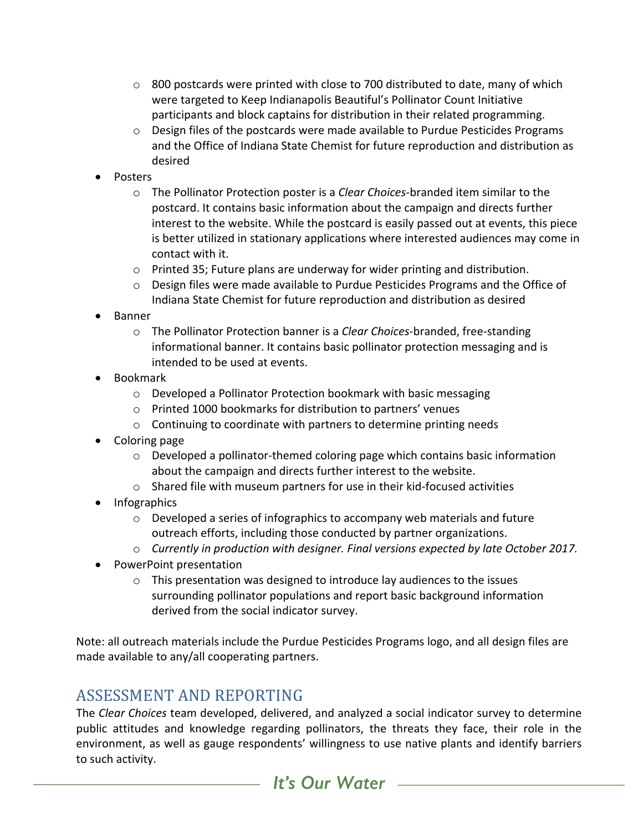- $\circ$  800 postcards were printed with close to 700 distributed to date, many of which were targeted to Keep Indianapolis Beautiful's Pollinator Count Initiative participants and block captains for distribution in their related programming.
- $\circ$  Design files of the postcards were made available to Purdue Pesticides Programs and the Office of Indiana State Chemist for future reproduction and distribution as desired
- Posters
	- o The Pollinator Protection poster is a *Clear Choices*-branded item similar to the postcard. It contains basic information about the campaign and directs further interest to the website. While the postcard is easily passed out at events, this piece is better utilized in stationary applications where interested audiences may come in contact with it.
	- $\circ$  Printed 35; Future plans are underway for wider printing and distribution.
	- $\circ$  Design files were made available to Purdue Pesticides Programs and the Office of Indiana State Chemist for future reproduction and distribution as desired
- Banner
	- o The Pollinator Protection banner is a *Clear Choices*-branded, free-standing informational banner. It contains basic pollinator protection messaging and is intended to be used at events.
- Bookmark
	- $\circ$  Developed a Pollinator Protection bookmark with basic messaging
	- $\circ$  Printed 1000 bookmarks for distribution to partners' venues
	- $\circ$  Continuing to coordinate with partners to determine printing needs
- Coloring page
	- $\circ$  Developed a pollinator-themed coloring page which contains basic information about the campaign and directs further interest to the website.
	- $\circ$  Shared file with museum partners for use in their kid-focused activities
- Infographics
	- $\circ$  Developed a series of infographics to accompany web materials and future outreach efforts, including those conducted by partner organizations.
	- o Currently in production with designer. Final versions expected by late October 2017.
- PowerPoint presentation
	- $\circ$  This presentation was designed to introduce lay audiences to the issues surrounding pollinator populations and report basic background information derived from the social indicator survey.

Note: all outreach materials include the Purdue Pesticides Programs logo, and all design files are made available to any/all cooperating partners.

### ASSESSMENT AND REPORTING

The *Clear Choices* team developed, delivered, and analyzed a social indicator survey to determine public attitudes and knowledge regarding pollinators, the threats they face, their role in the environment, as well as gauge respondents' willingness to use native plants and identify barriers to such activity.

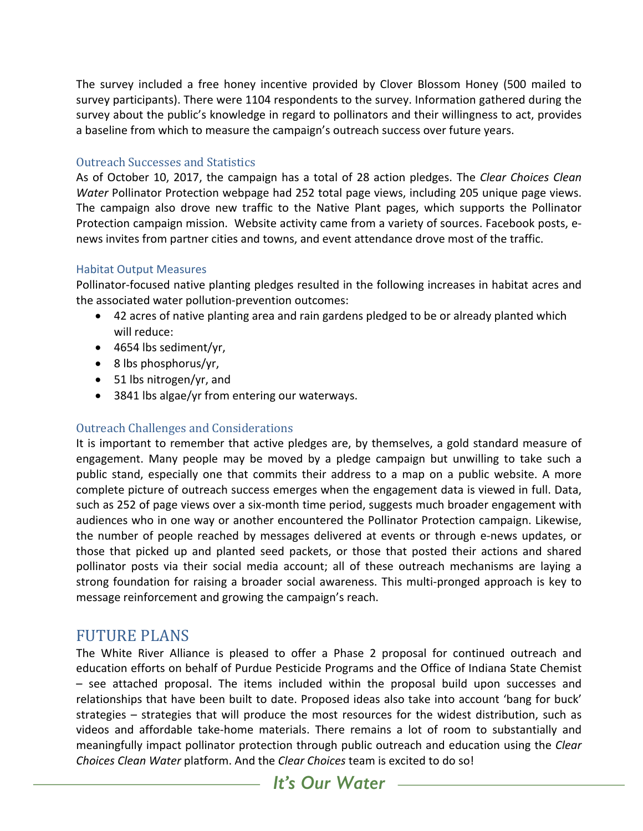The survey included a free honey incentive provided by Clover Blossom Honey (500 mailed to survey participants). There were 1104 respondents to the survey. Information gathered during the survey about the public's knowledge in regard to pollinators and their willingness to act, provides a baseline from which to measure the campaign's outreach success over future years.

#### Outreach Successes and Statistics

As of October 10, 2017, the campaign has a total of 28 action pledges. The *Clear Choices Clean Water* Pollinator Protection webpage had 252 total page views, including 205 unique page views. The campaign also drove new traffic to the Native Plant pages, which supports the Pollinator Protection campaign mission. Website activity came from a variety of sources. Facebook posts, enews invites from partner cities and towns, and event attendance drove most of the traffic.

#### **Habitat Output Measures**

Pollinator-focused native planting pledges resulted in the following increases in habitat acres and the associated water pollution-prevention outcomes:

- 42 acres of native planting area and rain gardens pledged to be or already planted which will reduce:
- $\bullet$  4654 lbs sediment/yr,
- $\bullet$  8 lbs phosphorus/yr,
- $\bullet$  51 lbs nitrogen/yr, and
- 3841 lbs algae/yr from entering our waterways.

#### **Outreach Challenges and Considerations**

It is important to remember that active pledges are, by themselves, a gold standard measure of engagement. Many people may be moved by a pledge campaign but unwilling to take such a public stand, especially one that commits their address to a map on a public website. A more complete picture of outreach success emerges when the engagement data is viewed in full. Data, such as 252 of page views over a six-month time period, suggests much broader engagement with audiences who in one way or another encountered the Pollinator Protection campaign. Likewise, the number of people reached by messages delivered at events or through e-news updates, or those that picked up and planted seed packets, or those that posted their actions and shared pollinator posts via their social media account; all of these outreach mechanisms are laying a strong foundation for raising a broader social awareness. This multi-pronged approach is key to message reinforcement and growing the campaign's reach.

### FUTURE PLANS

The White River Alliance is pleased to offer a Phase 2 proposal for continued outreach and education efforts on behalf of Purdue Pesticide Programs and the Office of Indiana State Chemist  $-$  see attached proposal. The items included within the proposal build upon successes and relationships that have been built to date. Proposed ideas also take into account 'bang for buck' strategies  $-$  strategies that will produce the most resources for the widest distribution, such as videos and affordable take-home materials. There remains a lot of room to substantially and meaningfully impact pollinator protection through public outreach and education using the *Clear Choices Clean Water platform.* And the *Clear Choices* team is excited to do so!